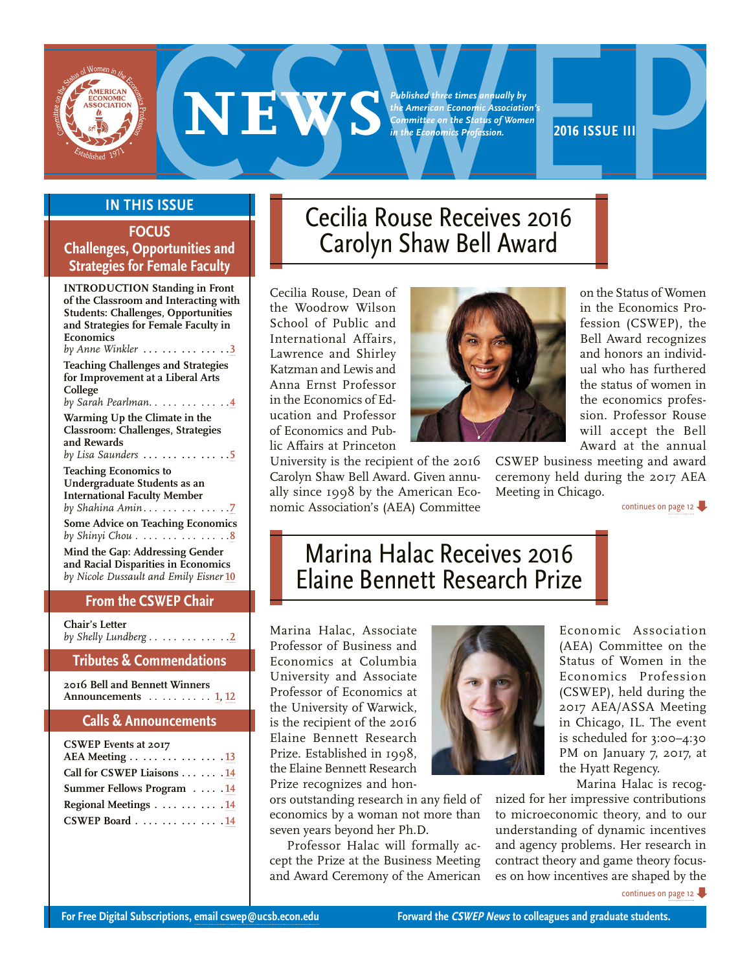<span id="page-0-0"></span>

*Published three times annually by the American Economic Association's Committee on the Status of Women in the Economics Profession.*

# **EXECUTE:**<br> **2016 ISSUE CECILIA ROUSE Recceives 2016**<br> **2016 ISSUE CECILIA ROUSE Recceives 2016**

# **In This Issue**

# **FOCUS Challenges, Opportunities and Strategies for Female Faculty**

**INTRODUCTION Standing in Front of the Classroom and Interacting with Students: Challenges, Opportunities and Strategies for Female Faculty in Economics**  *by Anne Winkler* **. . . . . . . . . . . . . [3](#page-2-0) Teaching Challenges and Strategies for Improvement at a Liberal Arts College**  *by Sarah Pearlman . . . . . . . . . . . .* **[4](#page-3-0) Warming Up the Climate in the Classroom: Challenges, Strategies and Rewards**  *by Lisa Saunders* **. . . . . . . . . . . . . [5](#page-4-0) Teaching Economics to Undergraduate Students as an International Faculty Member**  *by Shahina Amin . . . . . . . . . . . . .* **[7](#page-6-0) Some Advice on Teaching Economics**  *by Shinyi Chou . . . . . . . . . . . . . . .* **[8](#page-7-0)**

**Mind the Gap: Addressing Gender and Racial Disparities in Economics**  *by Nicole Dussault and Emily Eisner* **[10](#page-9-0)**

# **From the CSWEP Chair**

**Chair's Letter**  *by Shelly Lundberg . . . . . . . . . . . .* **[2](#page-1-0)**

**Tributes & Commendations**

**2016 Bell and Bennett Winners Announcements** *. . . . . . . . . .* **1, [12](#page-11-0)**

# **Calls & Announcements**

| <b>CSWEP</b> Events at 2017 |  |
|-----------------------------|--|
| AEA Meeting 13              |  |
| Call for CSWEP Liaisons 14  |  |
| Summer Fellows Program 14   |  |
| Regional Meetings 14        |  |
| CSWEP Board 14              |  |

# Cecilia Rouse Receives 2016 Carolyn Shaw Bell Award

Cecilia Rouse, Dean of the Woodrow Wilson School of Public and International Affairs, Lawrence and Shirley Katzman and Lewis and Anna Ernst Professor in the Economics of Education and Professor of Economics and Public Affairs at Princeton

University is the recipient of the 2016 Carolyn Shaw Bell Award. Given annually since 1998 by the American Economic Association's (AEA) Committee



on the Status of Women in the Economics Profession (CSWEP), the Bell Award recognizes and honors an individual who has furthered the status of women in the economics profession. Professor Rouse will accept the Bell Award at the annual

CSWEP business meeting and award ceremony held during the 2017 AEA Meeting in Chicago.

[continues on page 12](#page-11-0)

# Marina Halac Receives 2016 Elaine Bennett Research Prize

Marina Halac, Associate Professor of Business and Economics at Columbia University and Associate Professor of Economics at the University of Warwick, is the recipient of the 2016 Elaine Bennett Research Prize. Established in 1998, the Elaine Bennett Research Prize recognizes and hon-

ors outstanding research in any field of economics by a woman not more than seven years beyond her Ph.D.

Professor Halac will formally accept the Prize at the Business Meeting and Award Ceremony of the American



Economic Association (AEA) Committee on the Status of Women in the Economics Profession (CSWEP), held during the 2017 AEA/ASSA Meeting in Chicago, IL. The event is scheduled for 3:00–4:30 PM on January 7, 2017, at the Hyatt Regency.

Marina Halac is recog-

nized for her impressive contributions to microeconomic theory, and to our understanding of dynamic incentives and agency problems. Her research in contract theory and game theory focuses on how incentives are shaped by the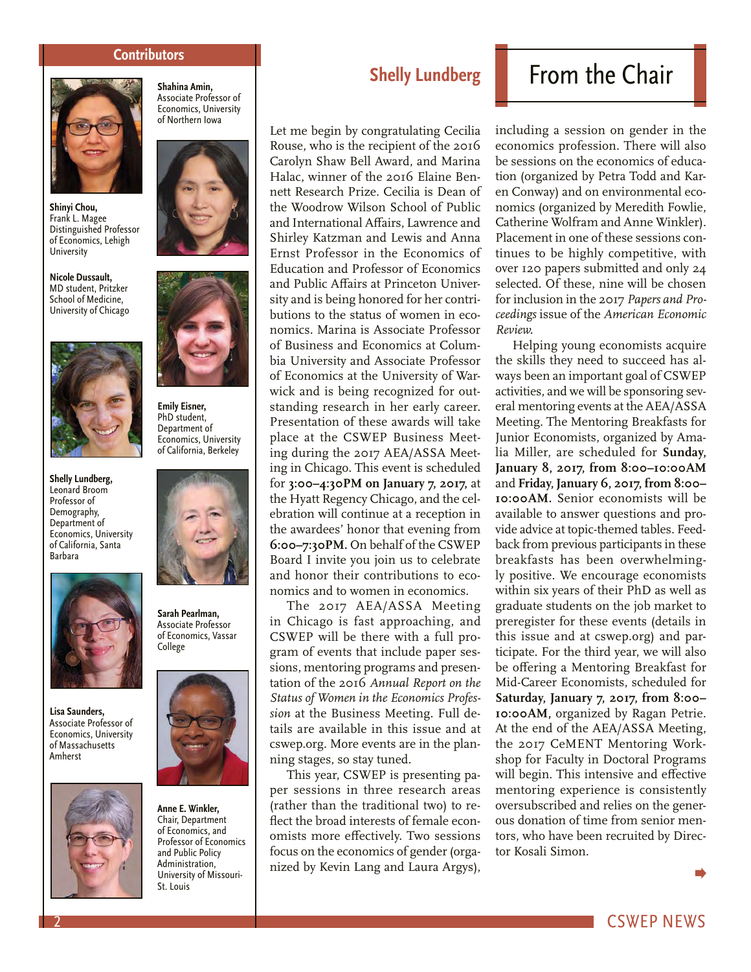#### **Contributors**

<span id="page-1-0"></span>

**Shinyi Chou,**  Frank L. Magee Distinguished Professor of Economics, Lehigh University

**Nicole Dussault,**  MD student, Pritzker School of Medicine, University of Chicago



**Shelly Lundberg,**  Leonard Broom Professor of Demography, Department of Economics, University of California, Santa Barbara



**Lisa Saunders,**  Associate Professor of Economics, University of Massachusetts Amherst



Associate Professor of Economics, University of Northern Iowa

**Shahina Amin,** 





**Emily Eisner,**  PhD student, Department of Economics, University of California, Berkeley



**Sarah Pearlman,** Associate Professor of Economics, Vassar College



**Anne E. Winkler,**  Chair, Department of Economics, and Professor of Economics and Public Policy Administration, University of Missouri-St. Louis

# **Shelly Lundberg**

Let me begin by congratulating Cecilia Rouse, who is the recipient of the 2016 Carolyn Shaw Bell Award, and Marina Halac, winner of the 2016 Elaine Bennett Research Prize. Cecilia is Dean of the Woodrow Wilson School of Public and International Affairs, Lawrence and Shirley Katzman and Lewis and Anna Ernst Professor in the Economics of Education and Professor of Economics and Public Affairs at Princeton University and is being honored for her contributions to the status of women in economics. Marina is Associate Professor of Business and Economics at Columbia University and Associate Professor of Economics at the University of Warwick and is being recognized for outstanding research in her early career. Presentation of these awards will take place at the CSWEP Business Meeting during the 2017 AEA/ASSA Meeting in Chicago. This event is scheduled for **3:00–4:30PM on January 7, 2017,** at the Hyatt Regency Chicago, and the celebration will continue at a reception in the awardees' honor that evening from **6:00–7:30PM.** On behalf of the CSWEP Board I invite you join us to celebrate and honor their contributions to economics and to women in economics.

The 2017 AEA/ASSA Meeting in Chicago is fast approaching, and CSWEP will be there with a full program of events that include paper sessions, mentoring programs and presentation of the 2016 *Annual Report on the Status of Women in the Economics Profession* at the Business Meeting. Full details are available in this issue and at cswep.org. More events are in the planning stages, so stay tuned.

This year, CSWEP is presenting paper sessions in three research areas (rather than the traditional two) to reflect the broad interests of female economists more effectively. Two sessions focus on the economics of gender (organized by Kevin Lang and Laura Argys),

# From the Chair

including a session on gender in the economics profession. There will also be sessions on the economics of education (organized by Petra Todd and Karen Conway) and on environmental economics (organized by Meredith Fowlie, Catherine Wolfram and Anne Winkler). Placement in one of these sessions continues to be highly competitive, with over 120 papers submitted and only 24 selected. Of these, nine will be chosen for inclusion in the 2017 *Papers and Proceedings* issue of the *American Economic Review.*

Helping young economists acquire the skills they need to succeed has always been an important goal of CSWEP activities, and we will be sponsoring several mentoring events at the AEA/ASSA Meeting. The Mentoring Breakfasts for Junior Economists, organized by Amalia Miller, are scheduled for **Sunday, January 8, 2017, from 8:00–10:00AM**  and **Friday, January 6, 2017, from 8:00– 10:00AM.** Senior economists will be available to answer questions and provide advice at topic-themed tables. Feedback from previous participants in these breakfasts has been overwhelmingly positive. We encourage economists within six years of their PhD as well as graduate students on the job market to preregister for these events (details in this issue and at cswep.org) and participate. For the third year, we will also be offering a Mentoring Breakfast for Mid-Career Economists, scheduled for **Saturday, January 7, 2017, from 8:00– 10:00AM,** organized by Ragan Petrie. At the end of the AEA/ASSA Meeting, the 2017 CeMENT Mentoring Workshop for Faculty in Doctoral Programs will begin. This intensive and effective mentoring experience is consistently oversubscribed and relies on the generous donation of time from senior mentors, who have been recruited by Director Kosali Simon.

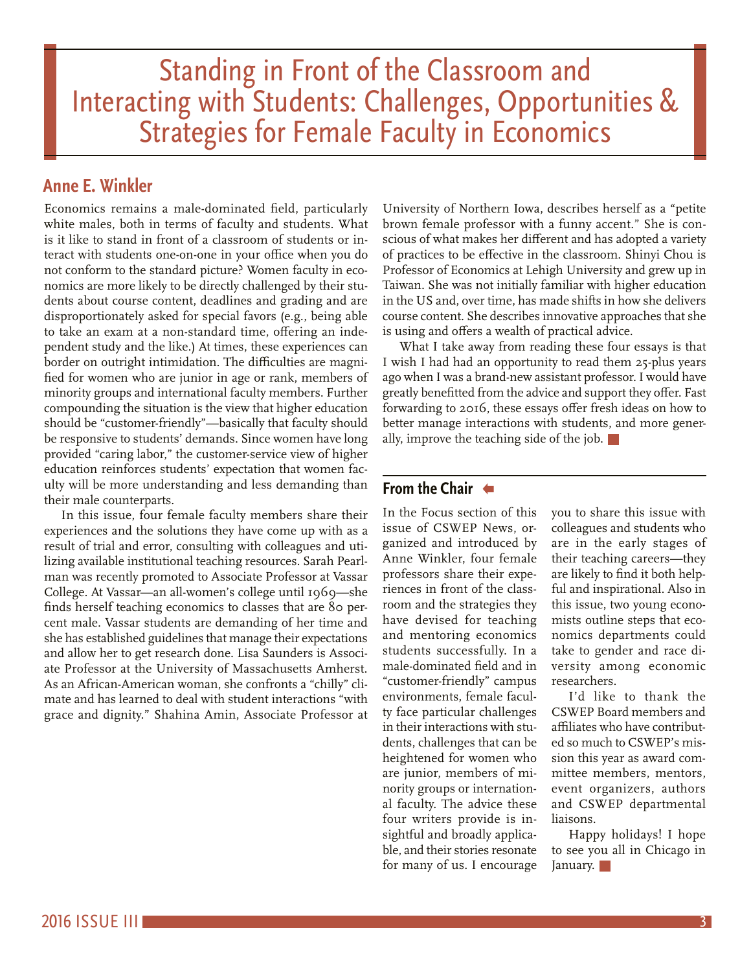# <span id="page-2-0"></span>Standing in Front of the Classroom and Interacting with Students: Challenges, Opportunities & Strategies for Female Faculty in Economics

# **Anne E. Winkler**

Economics remains a male-dominated field, particularly white males, both in terms of faculty and students. What is it like to stand in front of a classroom of students or interact with students one-on-one in your office when you do not conform to the standard picture? Women faculty in economics are more likely to be directly challenged by their students about course content, deadlines and grading and are disproportionately asked for special favors (e.g., being able to take an exam at a non-standard time, offering an independent study and the like.) At times, these experiences can border on outright intimidation. The difficulties are magnified for women who are junior in age or rank, members of minority groups and international faculty members. Further compounding the situation is the view that higher education should be "customer-friendly"—basically that faculty should be responsive to students' demands. Since women have long provided "caring labor," the customer-service view of higher education reinforces students' expectation that women faculty will be more understanding and less demanding than their male counterparts.

In this issue, four female faculty members share their experiences and the solutions they have come up with as a result of trial and error, consulting with colleagues and utilizing available institutional teaching resources. Sarah Pearlman was recently promoted to Associate Professor at Vassar College. At Vassar—an all-women's college until 1969—she finds herself teaching economics to classes that are 80 percent male. Vassar students are demanding of her time and she has established guidelines that manage their expectations and allow her to get research done. Lisa Saunders is Associate Professor at the University of Massachusetts Amherst. As an African-American woman, she confronts a "chilly" climate and has learned to deal with student interactions "with grace and dignity." Shahina Amin, Associate Professor at University of Northern Iowa, describes herself as a "petite brown female professor with a funny accent." She is conscious of what makes her different and has adopted a variety of practices to be effective in the classroom. Shinyi Chou is Professor of Economics at Lehigh University and grew up in Taiwan. She was not initially familiar with higher education in the US and, over time, has made shifts in how she delivers course content. She describes innovative approaches that she is using and offers a wealth of practical advice.

What I take away from reading these four essays is that I wish I had had an opportunity to read them 25-plus years ago when I was a brand-new assistant professor. I would have greatly benefitted from the advice and support they offer. Fast forwarding to 2016, these essays offer fresh ideas on how to better manage interactions with students, and more generally, improve the teaching side of the job.  $\blacksquare$ 

# **[From the Chair](#page-1-0)**

In the Focus section of this issue of CSWEP News, organized and introduced by Anne Winkler, four female professors share their experiences in front of the classroom and the strategies they have devised for teaching and mentoring economics students successfully. In a male-dominated field and in "customer-friendly" campus environments, female faculty face particular challenges in their interactions with students, challenges that can be heightened for women who are junior, members of minority groups or international faculty. The advice these four writers provide is insightful and broadly applicable, and their stories resonate for many of us. I encourage

you to share this issue with colleagues and students who are in the early stages of their teaching careers—they are likely to find it both helpful and inspirational. Also in this issue, two young economists outline steps that economics departments could take to gender and race diversity among economic researchers.

I'd like to thank the CSWEP Board members and affiliates who have contributed so much to CSWEP's mission this year as award committee members, mentors, event organizers, authors and CSWEP departmental liaisons.

Happy holidays! I hope to see you all in Chicago in January.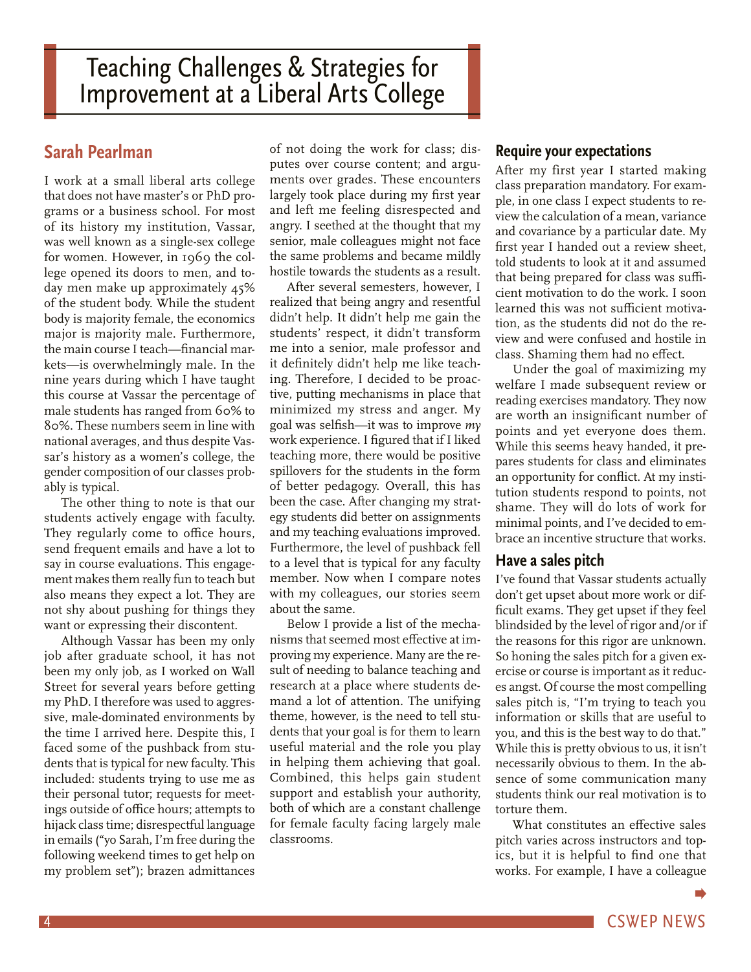# <span id="page-3-0"></span>**Sarah Pearlman**

I work at a small liberal arts college that does not have master's or PhD programs or a business school. For most of its history my institution, Vassar, was well known as a single-sex college for women. However, in 1969 the college opened its doors to men, and today men make up approximately 45% of the student body. While the student body is majority female, the economics major is majority male. Furthermore, the main course I teach—financial markets—is overwhelmingly male. In the nine years during which I have taught this course at Vassar the percentage of male students has ranged from 60% to 80%. These numbers seem in line with national averages, and thus despite Vassar's history as a women's college, the gender composition of our classes probably is typical.

The other thing to note is that our students actively engage with faculty. They regularly come to office hours, send frequent emails and have a lot to say in course evaluations. This engagement makes them really fun to teach but also means they expect a lot. They are not shy about pushing for things they want or expressing their discontent.

Although Vassar has been my only job after graduate school, it has not been my only job, as I worked on Wall Street for several years before getting my PhD. I therefore was used to aggressive, male-dominated environments by the time I arrived here. Despite this, I faced some of the pushback from students that is typical for new faculty. This included: students trying to use me as their personal tutor; requests for meetings outside of office hours; attempts to hijack class time; disrespectful language in emails ("yo Sarah, I'm free during the following weekend times to get help on my problem set"); brazen admittances

of not doing the work for class; disputes over course content; and arguments over grades. These encounters largely took place during my first year and left me feeling disrespected and angry. I seethed at the thought that my senior, male colleagues might not face the same problems and became mildly hostile towards the students as a result.

After several semesters, however, I realized that being angry and resentful didn't help. It didn't help me gain the students' respect, it didn't transform me into a senior, male professor and it definitely didn't help me like teaching. Therefore, I decided to be proactive, putting mechanisms in place that minimized my stress and anger. My goal was selfish—it was to improve *my* work experience. I figured that if I liked teaching more, there would be positive spillovers for the students in the form of better pedagogy. Overall, this has been the case. After changing my strategy students did better on assignments and my teaching evaluations improved. Furthermore, the level of pushback fell to a level that is typical for any faculty member. Now when I compare notes with my colleagues, our stories seem about the same.

Below I provide a list of the mechanisms that seemed most effective at improving my experience. Many are the result of needing to balance teaching and research at a place where students demand a lot of attention. The unifying theme, however, is the need to tell students that your goal is for them to learn useful material and the role you play in helping them achieving that goal. Combined, this helps gain student support and establish your authority, both of which are a constant challenge for female faculty facing largely male classrooms.

# **Require your expectations**

After my first year I started making class preparation mandatory. For example, in one class I expect students to review the calculation of a mean, variance and covariance by a particular date. My first year I handed out a review sheet, told students to look at it and assumed that being prepared for class was sufficient motivation to do the work. I soon learned this was not sufficient motivation, as the students did not do the review and were confused and hostile in class. Shaming them had no effect.

Under the goal of maximizing my welfare I made subsequent review or reading exercises mandatory. They now are worth an insignificant number of points and yet everyone does them. While this seems heavy handed, it prepares students for class and eliminates an opportunity for conflict. At my institution students respond to points, not shame. They will do lots of work for minimal points, and I've decided to embrace an incentive structure that works.

## **Have a sales pitch**

I've found that Vassar students actually don't get upset about more work or difficult exams. They get upset if they feel blindsided by the level of rigor and/or if the reasons for this rigor are unknown. So honing the sales pitch for a given exercise or course is important as it reduces angst. Of course the most compelling sales pitch is, "I'm trying to teach you information or skills that are useful to you, and this is the best way to do that." While this is pretty obvious to us, it isn't necessarily obvious to them. In the absence of some communication many students think our real motivation is to torture them.

What constitutes an effective sales pitch varies across instructors and topics, but it is helpful to find one that works. For example, I have a colleague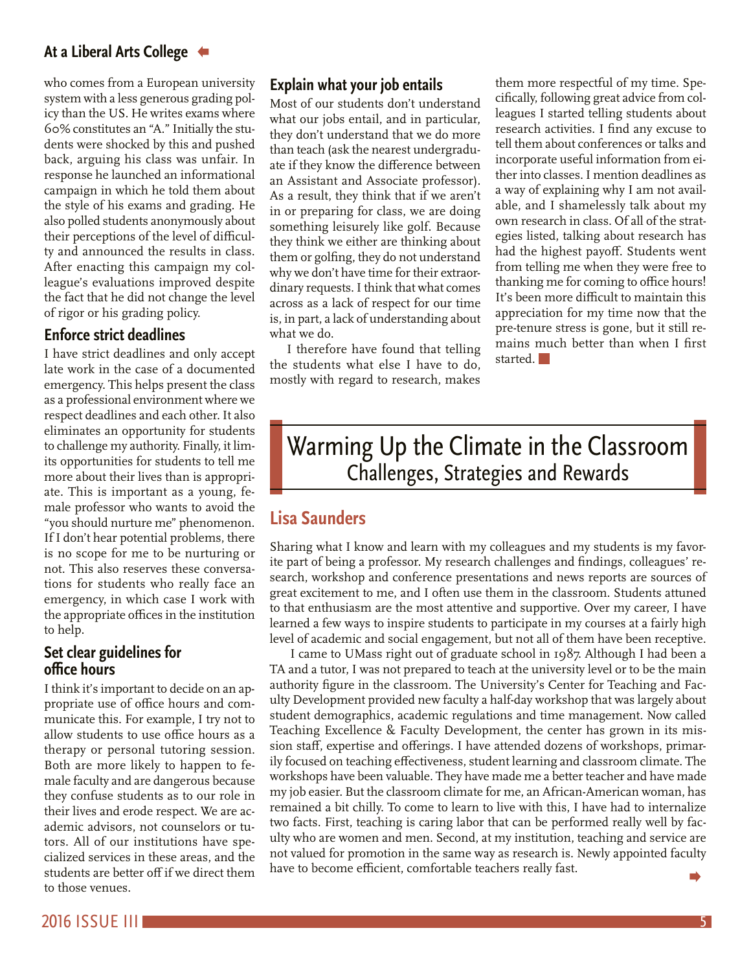# <span id="page-4-0"></span>**[At a Liberal Arts College](#page-3-0)**

who comes from a European university system with a less generous grading policy than the US. He writes exams where 60% constitutes an "A." Initially the students were shocked by this and pushed back, arguing his class was unfair. In response he launched an informational campaign in which he told them about the style of his exams and grading. He also polled students anonymously about their perceptions of the level of difficulty and announced the results in class. After enacting this campaign my colleague's evaluations improved despite the fact that he did not change the level of rigor or his grading policy.

# **Enforce strict deadlines**

I have strict deadlines and only accept late work in the case of a documented emergency. This helps present the class as a professional environment where we respect deadlines and each other. It also eliminates an opportunity for students to challenge my authority. Finally, it limits opportunities for students to tell me more about their lives than is appropriate. This is important as a young, female professor who wants to avoid the "you should nurture me" phenomenon. If I don't hear potential problems, there is no scope for me to be nurturing or not. This also reserves these conversations for students who really face an emergency, in which case I work with the appropriate offices in the institution to help.

## **Set clear guidelines for office hours**

I think it's important to decide on an appropriate use of office hours and communicate this. For example, I try not to allow students to use office hours as a therapy or personal tutoring session. Both are more likely to happen to female faculty and are dangerous because they confuse students as to our role in their lives and erode respect. We are academic advisors, not counselors or tutors. All of our institutions have specialized services in these areas, and the students are better off if we direct them to those venues.

# **Explain what your job entails**

Most of our students don't understand what our jobs entail, and in particular, they don't understand that we do more than teach (ask the nearest undergraduate if they know the difference between an Assistant and Associate professor). As a result, they think that if we aren't in or preparing for class, we are doing something leisurely like golf. Because they think we either are thinking about them or golfing, they do not understand why we don't have time for their extraordinary requests. I think that what comes across as a lack of respect for our time is, in part, a lack of understanding about what we do.

I therefore have found that telling the students what else I have to do, mostly with regard to research, makes them more respectful of my time. Specifically, following great advice from colleagues I started telling students about research activities. I find any excuse to tell them about conferences or talks and incorporate useful information from either into classes. I mention deadlines as a way of explaining why I am not available, and I shamelessly talk about my own research in class. Of all of the strategies listed, talking about research has had the highest payoff. Students went from telling me when they were free to thanking me for coming to office hours! It's been more difficult to maintain this appreciation for my time now that the pre-tenure stress is gone, but it still remains much better than when I first started<sup>1</sup>

# Warming Up the Climate in the Classroom Challenges, Strategies and Rewards

# **Lisa Saunders**

Sharing what I know and learn with my colleagues and my students is my favorite part of being a professor. My research challenges and findings, colleagues' research, workshop and conference presentations and news reports are sources of great excitement to me, and I often use them in the classroom. Students attuned to that enthusiasm are the most attentive and supportive. Over my career, I have learned a few ways to inspire students to participate in my courses at a fairly high level of academic and social engagement, but not all of them have been receptive.

 I came to UMass right out of graduate school in 1987. Although I had been a TA and a tutor, I was not prepared to teach at the university level or to be the main authority figure in the classroom. The University's Center for Teaching and Faculty Development provided new faculty a half-day workshop that was largely about student demographics, academic regulations and time management. Now called Teaching Excellence & Faculty Development, the center has grown in its mission staff, expertise and offerings. I have attended dozens of workshops, primarily focused on teaching effectiveness, student learning and classroom climate. The workshops have been valuable. They have made me a better teacher and have made my job easier. But the classroom climate for me, an African-American woman, has remained a bit chilly. To come to learn to live with this, I have had to internalize two facts. First, teaching is caring labor that can be performed really well by faculty who are women and men. Second, at my institution, teaching and service are not valued for promotion in the same way as research is. Newly appointed faculty have to become efficient, comfortable teachers really fast.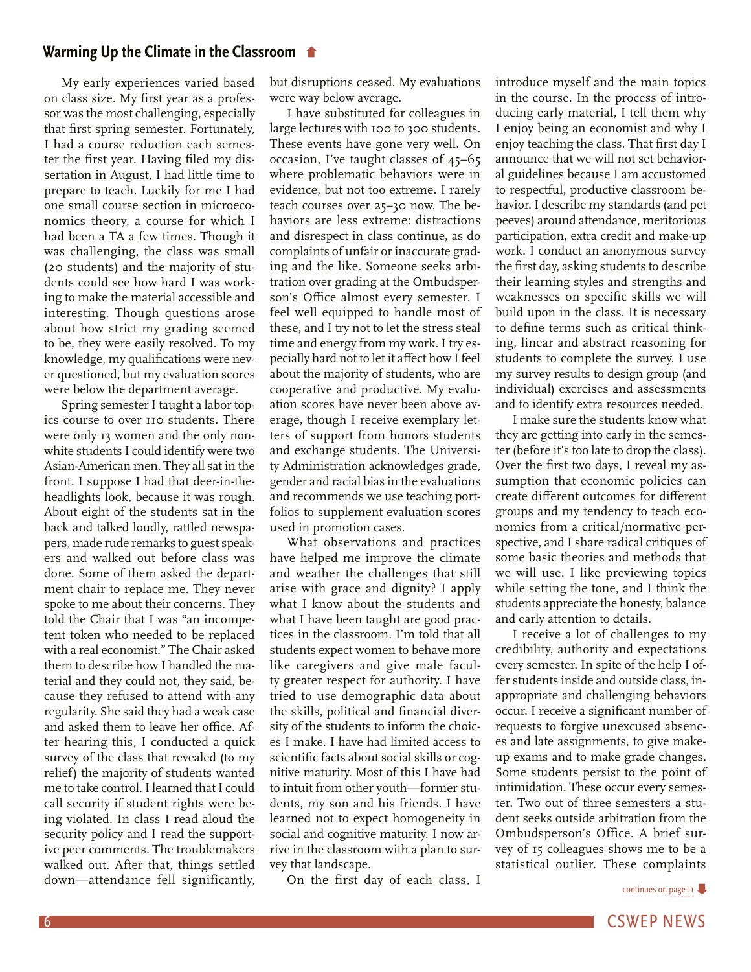## **[Warming Up the Climate in the Classroom](#page-4-0)**

My early experiences varied based on class size. My first year as a professor was the most challenging, especially that first spring semester. Fortunately, I had a course reduction each semester the first year. Having filed my dissertation in August, I had little time to prepare to teach. Luckily for me I had one small course section in microeconomics theory, a course for which I had been a TA a few times. Though it was challenging, the class was small (20 students) and the majority of students could see how hard I was working to make the material accessible and interesting. Though questions arose about how strict my grading seemed to be, they were easily resolved. To my knowledge, my qualifications were never questioned, but my evaluation scores were below the department average.

Spring semester I taught a labor topics course to over 110 students. There were only 13 women and the only nonwhite students I could identify were two Asian-American men. They all sat in the front. I suppose I had that deer-in-theheadlights look, because it was rough. About eight of the students sat in the back and talked loudly, rattled newspapers, made rude remarks to guest speakers and walked out before class was done. Some of them asked the department chair to replace me. They never spoke to me about their concerns. They told the Chair that I was "an incompetent token who needed to be replaced with a real economist." The Chair asked them to describe how I handled the material and they could not, they said, because they refused to attend with any regularity. She said they had a weak case and asked them to leave her office. After hearing this, I conducted a quick survey of the class that revealed (to my relief) the majority of students wanted me to take control. I learned that I could call security if student rights were being violated. In class I read aloud the security policy and I read the supportive peer comments. The troublemakers walked out. After that, things settled down—attendance fell significantly,

but disruptions ceased. My evaluations were way below average.

I have substituted for colleagues in large lectures with 100 to 300 students. These events have gone very well. On occasion, I've taught classes of 45–65 where problematic behaviors were in evidence, but not too extreme. I rarely teach courses over 25–30 now. The behaviors are less extreme: distractions and disrespect in class continue, as do complaints of unfair or inaccurate grading and the like. Someone seeks arbitration over grading at the Ombudsperson's Office almost every semester. I feel well equipped to handle most of these, and I try not to let the stress steal time and energy from my work. I try especially hard not to let it affect how I feel about the majority of students, who are cooperative and productive. My evaluation scores have never been above average, though I receive exemplary letters of support from honors students and exchange students. The University Administration acknowledges grade, gender and racial bias in the evaluations and recommends we use teaching portfolios to supplement evaluation scores used in promotion cases.

What observations and practices have helped me improve the climate and weather the challenges that still arise with grace and dignity? I apply what I know about the students and what I have been taught are good practices in the classroom. I'm told that all students expect women to behave more like caregivers and give male faculty greater respect for authority. I have tried to use demographic data about the skills, political and financial diversity of the students to inform the choices I make. I have had limited access to scientific facts about social skills or cognitive maturity. Most of this I have had to intuit from other youth—former students, my son and his friends. I have learned not to expect homogeneity in social and cognitive maturity. I now arrive in the classroom with a plan to survey that landscape.

On the first day of each class, I

introduce myself and the main topics in the course. In the process of introducing early material, I tell them why I enjoy being an economist and why I enjoy teaching the class. That first day I announce that we will not set behavioral guidelines because I am accustomed to respectful, productive classroom behavior. I describe my standards (and pet peeves) around attendance, meritorious participation, extra credit and make-up work. I conduct an anonymous survey the first day, asking students to describe their learning styles and strengths and weaknesses on specific skills we will build upon in the class. It is necessary to define terms such as critical thinking, linear and abstract reasoning for students to complete the survey. I use my survey results to design group (and individual) exercises and assessments and to identify extra resources needed.

I make sure the students know what they are getting into early in the semester (before it's too late to drop the class). Over the first two days, I reveal my assumption that economic policies can create different outcomes for different groups and my tendency to teach economics from a critical/normative perspective, and I share radical critiques of some basic theories and methods that we will use. I like previewing topics while setting the tone, and I think the students appreciate the honesty, balance and early attention to details.

I receive a lot of challenges to my credibility, authority and expectations every semester. In spite of the help I offer students inside and outside class, inappropriate and challenging behaviors occur. I receive a significant number of requests to forgive unexcused absences and late assignments, to give makeup exams and to make grade changes. Some students persist to the point of intimidation. These occur every semester. Two out of three semesters a student seeks outside arbitration from the Ombudsperson's Office. A brief survey of 15 colleagues shows me to be a statistical outlier. These complaints

[continues on page 11](#page-10-0)

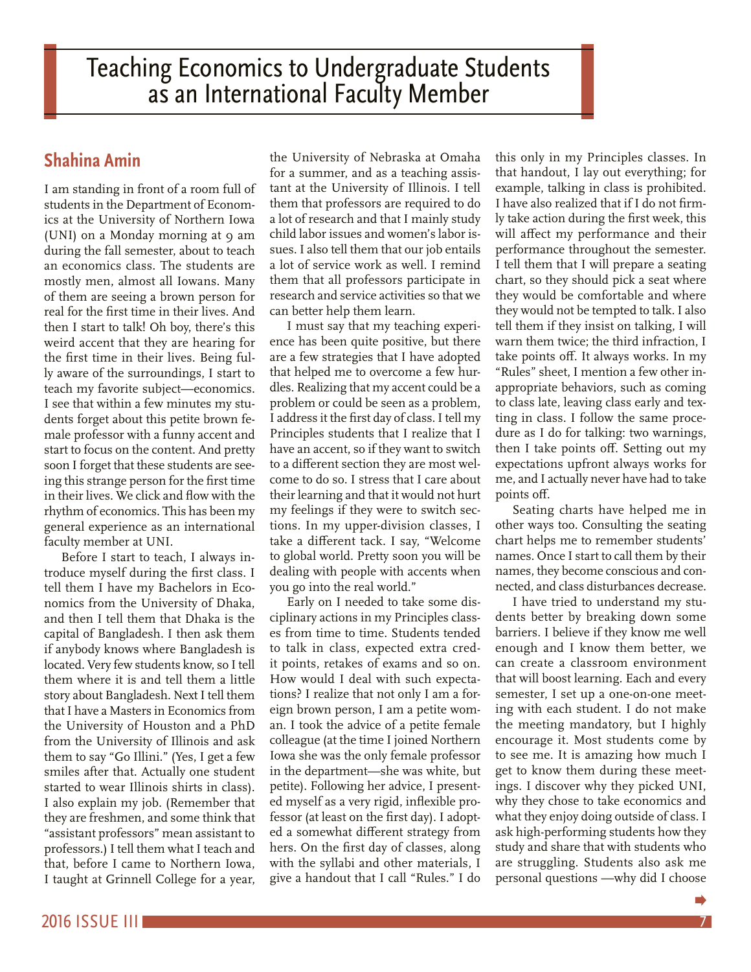smiles after that. Actually one student started to wear Illinois shirts in class). I also explain my job. (Remember that

Before I start to teach, I always introduce myself during the first class. I tell them I have my Bachelors in Economics from the University of Dhaka, and then I tell them that Dhaka is the capital of Bangladesh. I then ask them if anybody knows where Bangladesh is located. Very few students know, so I tell them where it is and tell them a little story about Bangladesh. Next I tell them

faculty member at UNI.

they are freshmen, and some think that "assistant professors" mean assistant to professors.) I tell them what I teach and that, before I came to Northern Iowa, I taught at Grinnell College for a year,

<span id="page-6-0"></span>Teaching Economics to Undergraduate Students as an International Faculty Member

# **Shahina Amin**

I am standing in front of a room full of students in the Department of Economics at the University of Northern Iowa (UNI) on a Monday morning at 9 am during the fall semester, about to teach an economics class. The students are mostly men, almost all Iowans. Many of them are seeing a brown person for real for the first time in their lives. And then I start to talk! Oh boy, there's this weird accent that they are hearing for the first time in their lives. Being fully aware of the surroundings, I start to teach my favorite subject—economics. I see that within a few minutes my students forget about this petite brown female professor with a funny accent and start to focus on the content. And pretty soon I forget that these students are seeing this strange person for the first time in their lives. We click and flow with the rhythm of economics. This has been my general experience as an international

the University of Nebraska at Omaha for a summer, and as a teaching assistant at the University of Illinois. I tell them that professors are required to do a lot of research and that I mainly study child labor issues and women's labor issues. I also tell them that our job entails a lot of service work as well. I remind them that all professors participate in research and service activities so that we can better help them learn.

I must say that my teaching experience has been quite positive, but there are a few strategies that I have adopted that helped me to overcome a few hurdles. Realizing that my accent could be a problem or could be seen as a problem, I address it the first day of class. I tell my Principles students that I realize that I have an accent, so if they want to switch to a different section they are most welcome to do so. I stress that I care about their learning and that it would not hurt my feelings if they were to switch sections. In my upper-division classes, I take a different tack. I say, "Welcome to global world. Pretty soon you will be dealing with people with accents when you go into the real world."

Early on I needed to take some disciplinary actions in my Principles classes from time to time. Students tended to talk in class, expected extra credit points, retakes of exams and so on. How would I deal with such expectations? I realize that not only I am a foreign brown person, I am a petite woman. I took the advice of a petite female colleague (at the time I joined Northern Iowa she was the only female professor in the department—she was white, but petite). Following her advice, I presented myself as a very rigid, inflexible professor (at least on the first day). I adopted a somewhat different strategy from hers. On the first day of classes, along with the syllabi and other materials, I give a handout that I call "Rules." I do

this only in my Principles classes. In that handout, I lay out everything; for example, talking in class is prohibited. I have also realized that if I do not firmly take action during the first week, this will affect my performance and their performance throughout the semester. I tell them that I will prepare a seating chart, so they should pick a seat where they would be comfortable and where they would not be tempted to talk. I also tell them if they insist on talking, I will warn them twice; the third infraction, I take points off. It always works. In my "Rules" sheet, I mention a few other inappropriate behaviors, such as coming to class late, leaving class early and texting in class. I follow the same procedure as I do for talking: two warnings, then I take points off. Setting out my expectations upfront always works for me, and I actually never have had to take points off.

Seating charts have helped me in other ways too. Consulting the seating chart helps me to remember students' names. Once I start to call them by their names, they become conscious and connected, and class disturbances decrease.

I have tried to understand my students better by breaking down some barriers. I believe if they know me well enough and I know them better, we can create a classroom environment that will boost learning. Each and every semester, I set up a one-on-one meeting with each student. I do not make the meeting mandatory, but I highly encourage it. Most students come by to see me. It is amazing how much I get to know them during these meetings. I discover why they picked UNI, why they chose to take economics and what they enjoy doing outside of class. I ask high-performing students how they study and share that with students who are struggling. Students also ask me personal questions —why did I choose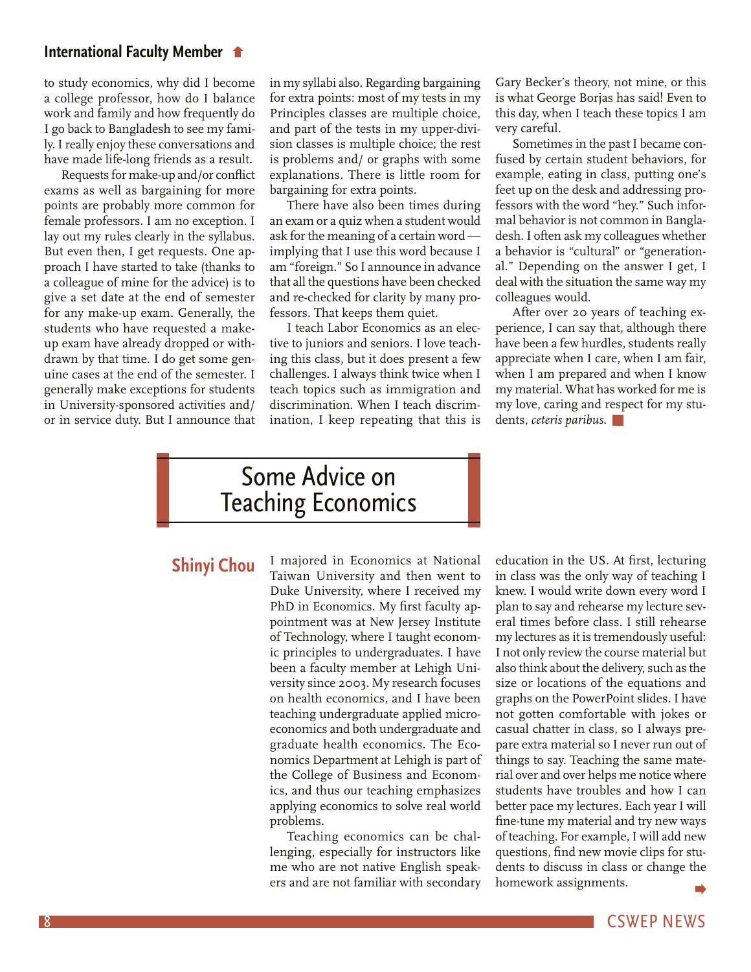## <span id="page-7-0"></span>**[International Faculty Member](#page-6-0)**

to study economics, why did I become a college professor, how do I balance work and family and how frequently do I go back to Bangladesh to see my family. I really enjoy these conversations and have made life-long friends as a result.

Requests for make-up and/or conflict exams as well as bargaining for more points are probably more common for female professors. I am no exception. I lay out my rules clearly in the syllabus. But even then, I get requests. One approach I have started to take (thanks to a colleague of mine for the advice) is to give a set date at the end of semester for any make-up exam. Generally, the students who have requested a makeup exam have already dropped or withdrawn by that time. I do get some genuine cases at the end of the semester. I generally make exceptions for students in University-sponsored activities and/ or in service duty. But I announce that

in my syllabi also. Regarding bargaining for extra points: most of my tests in my Principles classes are multiple choice, and part of the tests in my upper-division classes is multiple choice; the rest is problems and/ or graphs with some explanations. There is little room for bargaining for extra points.

There have also been times during an exam or a quiz when a student would ask for the meaning of a certain word implying that I use this word because I am "foreign." So I announce in advance that all the questions have been checked and re-checked for clarity by many professors. That keeps them quiet.

I teach Labor Economics as an elective to juniors and seniors. I love teaching this class, but it does present a few challenges. I always think twice when I teach topics such as immigration and discrimination. When I teach discrimination, I keep repeating that this is Gary Becker's theory, not mine, or this is what George Borjas has said! Even to this day, when I teach these topics I am very careful.

Sometimes in the past I became confused by certain student behaviors, for example, eating in class, putting one's feet up on the desk and addressing professors with the word "hey." Such informal behavior is not common in Bangladesh. I often ask my colleagues whether a behavior is "cultural" or "generational." Depending on the answer I get, I deal with the situation the same way my colleagues would.

After over 20 years of teaching experience, I can say that, although there have been a few hurdles, students really appreciate when I care, when I am fair, when I am prepared and when I know my material. What has worked for me is my love, caring and respect for my students, *ceteris paribus.*

# Some Advice on Teaching Economics

# **Shinyi Chou**

I majored in Economics at National Taiwan University and then went to Duke University, where I received my PhD in Economics. My first faculty appointment was at New Jersey Institute of Technology, where I taught economic principles to undergraduates. I have been a faculty member at Lehigh University since 2003. My research focuses on health economics, and I have been teaching undergraduate applied microeconomics and both undergraduate and graduate health economics. The Economics Department at Lehigh is part of the College of Business and Economics, and thus our teaching emphasizes applying economics to solve real world problems.

Teaching economics can be challenging, especially for instructors like me who are not native English speakers and are not familiar with secondary education in the US. At first, lecturing in class was the only way of teaching I knew. I would write down every word I plan to say and rehearse my lecture several times before class. I still rehearse my lectures as it is tremendously useful: I not only review the course material but also think about the delivery, such as the size or locations of the equations and graphs on the PowerPoint slides. I have not gotten comfortable with jokes or casual chatter in class, so I always prepare extra material so I never run out of things to say. Teaching the same material over and over helps me notice where students have troubles and how I can better pace my lectures. Each year I will fine-tune my material and try new ways of teaching. For example, I will add new questions, find new movie clips for students to discuss in class or change the homework assignments.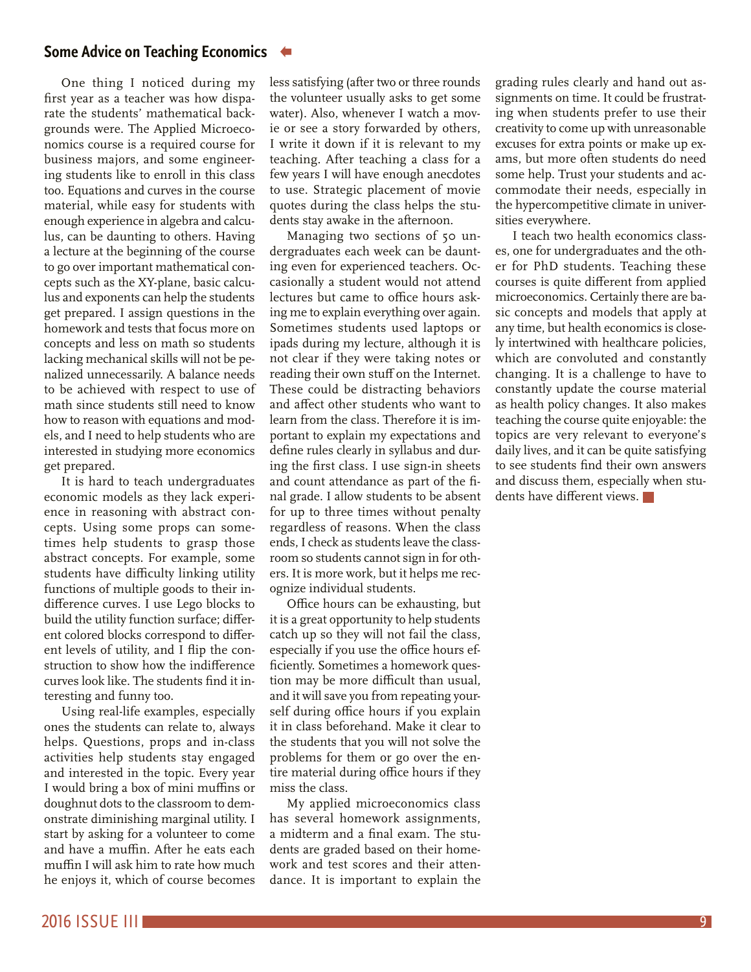## **[Some Advice on Teaching Economics](#page-7-0)**

One thing I noticed during my first year as a teacher was how disparate the students' mathematical backgrounds were. The Applied Microeconomics course is a required course for business majors, and some engineering students like to enroll in this class too. Equations and curves in the course material, while easy for students with enough experience in algebra and calculus, can be daunting to others. Having a lecture at the beginning of the course to go over important mathematical concepts such as the XY-plane, basic calculus and exponents can help the students get prepared. I assign questions in the homework and tests that focus more on concepts and less on math so students lacking mechanical skills will not be penalized unnecessarily. A balance needs to be achieved with respect to use of math since students still need to know how to reason with equations and models, and I need to help students who are interested in studying more economics get prepared.

It is hard to teach undergraduates economic models as they lack experience in reasoning with abstract concepts. Using some props can sometimes help students to grasp those abstract concepts. For example, some students have difficulty linking utility functions of multiple goods to their indifference curves. I use Lego blocks to build the utility function surface; different colored blocks correspond to different levels of utility, and I flip the construction to show how the indifference curves look like. The students find it interesting and funny too.

Using real-life examples, especially ones the students can relate to, always helps. Questions, props and in-class activities help students stay engaged and interested in the topic. Every year I would bring a box of mini muffins or doughnut dots to the classroom to demonstrate diminishing marginal utility. I start by asking for a volunteer to come and have a muffin. After he eats each muffin I will ask him to rate how much he enjoys it, which of course becomes

less satisfying (after two or three rounds the volunteer usually asks to get some water). Also, whenever I watch a movie or see a story forwarded by others, I write it down if it is relevant to my teaching. After teaching a class for a few years I will have enough anecdotes to use. Strategic placement of movie quotes during the class helps the students stay awake in the afternoon.

Managing two sections of 50 undergraduates each week can be daunting even for experienced teachers. Occasionally a student would not attend lectures but came to office hours asking me to explain everything over again. Sometimes students used laptops or ipads during my lecture, although it is not clear if they were taking notes or reading their own stuff on the Internet. These could be distracting behaviors and affect other students who want to learn from the class. Therefore it is important to explain my expectations and define rules clearly in syllabus and during the first class. I use sign-in sheets and count attendance as part of the final grade. I allow students to be absent for up to three times without penalty regardless of reasons. When the class ends, I check as students leave the classroom so students cannot sign in for others. It is more work, but it helps me recognize individual students.

Office hours can be exhausting, but it is a great opportunity to help students catch up so they will not fail the class, especially if you use the office hours efficiently. Sometimes a homework question may be more difficult than usual, and it will save you from repeating yourself during office hours if you explain it in class beforehand. Make it clear to the students that you will not solve the problems for them or go over the entire material during office hours if they miss the class.

My applied microeconomics class has several homework assignments, a midterm and a final exam. The students are graded based on their homework and test scores and their attendance. It is important to explain the grading rules clearly and hand out assignments on time. It could be frustrating when students prefer to use their creativity to come up with unreasonable excuses for extra points or make up exams, but more often students do need some help. Trust your students and accommodate their needs, especially in the hypercompetitive climate in universities everywhere.

I teach two health economics classes, one for undergraduates and the other for PhD students. Teaching these courses is quite different from applied microeconomics. Certainly there are basic concepts and models that apply at any time, but health economics is closely intertwined with healthcare policies, which are convoluted and constantly changing. It is a challenge to have to constantly update the course material as health policy changes. It also makes teaching the course quite enjoyable: the topics are very relevant to everyone's daily lives, and it can be quite satisfying to see students find their own answers and discuss them, especially when students have different views.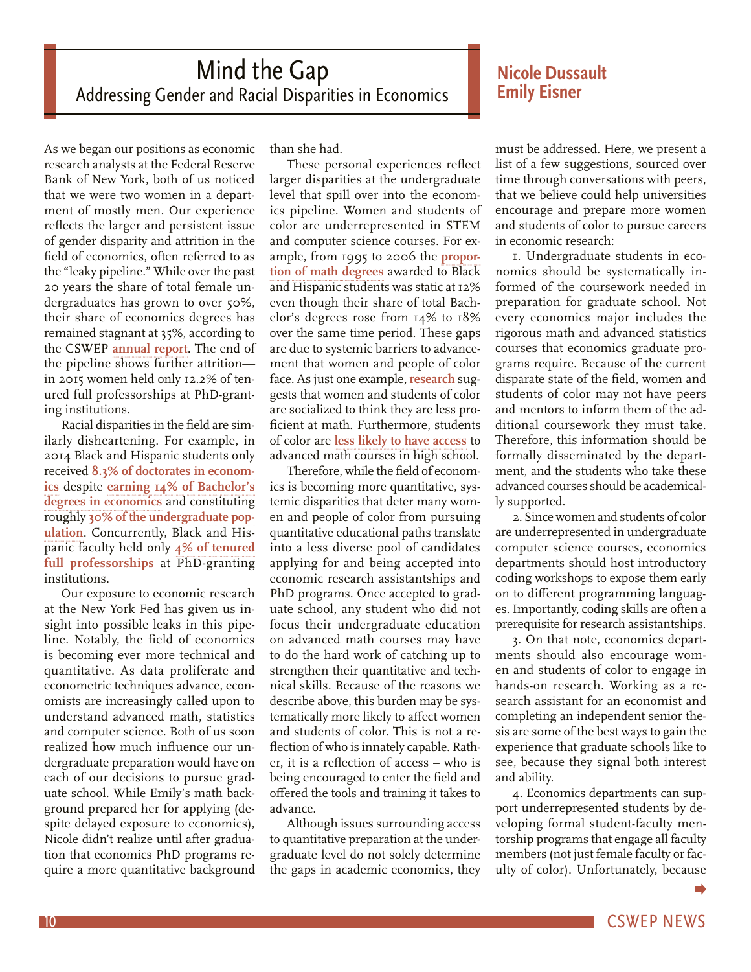# <span id="page-9-0"></span>Mind the Gap Addressing Gender and Racial Disparities in Economics

As we began our positions as economic research analysts at the Federal Reserve Bank of New York, both of us noticed that we were two women in a department of mostly men. Our experience reflects the larger and persistent issue of gender disparity and attrition in the field of economics, often referred to as the "leaky pipeline." While over the past 20 years the share of total female undergraduates has grown to over 50%, their share of economics degrees has remained stagnant at 35%, according to the CSWEP **[annual report](https://www.aeaweb.org/content/file?id=1914)**. The end of the pipeline shows further attrition in 2015 women held only 12.2% of tenured full professorships at PhD-granting institutions.

Racial disparities in the field are similarly disheartening. For example, in 2014 Black and Hispanic students only received **[8.3% of doctorates in econom](https://www.aeaweb.org/content/file?id=1914)[ics](https://www.aeaweb.org/content/file?id=1914)** despite **[earning 14% of Bachelor's](https://www.aeaweb.org/content/file?id=426)  [degrees in economics](https://www.aeaweb.org/content/file?id=426)** and constituting roughly **[30% of the undergraduate pop](http://nces.ed.gov/programs/digest/d13/tables/dt13_306.10.asp)[ulation](http://nces.ed.gov/programs/digest/d13/tables/dt13_306.10.asp)**. Concurrently, Black and Hispanic faculty held only **[4% of tenured](https://www.aeaweb.org/content/file?id=426) [full professorships](https://www.aeaweb.org/content/file?id=426)** at PhD-granting institutions.

Our exposure to economic research at the New York Fed has given us insight into possible leaks in this pipeline. Notably, the field of economics is becoming ever more technical and quantitative. As data proliferate and econometric techniques advance, economists are increasingly called upon to understand advanced math, statistics and computer science. Both of us soon realized how much influence our undergraduate preparation would have on each of our decisions to pursue graduate school. While Emily's math background prepared her for applying (despite delayed exposure to economics), Nicole didn't realize until after graduation that economics PhD programs require a more quantitative background

than she had.

These personal experiences reflect larger disparities at the undergraduate level that spill over into the economics pipeline. Women and students of color are underrepresented in STEM and computer science courses. For example, from 1995 to 2006 the **[propor](https://www.aeaweb.org/content/file?id=433)[tion of math degrees](https://www.aeaweb.org/content/file?id=433)** awarded to Black and Hispanic students was static at 12% even though their share of total Bachelor's degrees rose from 14% to 18% over the same time period. These gaps are due to systemic barriers to advancement that women and people of color face. As just one example, **[research](http://www.nytimes.com/2013/10/06/magazine/why-are-there-still-so-few-women-in-science.html?_r=1)** suggests that women and students of color are socialized to think they are less proficient at math. Furthermore, students of color are **[less likely to have access](http://files.eric.ed.gov/fulltext/ED509653.pdf)** to advanced math courses in high school.

Therefore, while the field of economics is becoming more quantitative, systemic disparities that deter many women and people of color from pursuing quantitative educational paths translate into a less diverse pool of candidates applying for and being accepted into economic research assistantships and PhD programs. Once accepted to graduate school, any student who did not focus their undergraduate education on advanced math courses may have to do the hard work of catching up to strengthen their quantitative and technical skills. Because of the reasons we describe above, this burden may be systematically more likely to affect women and students of color. This is not a reflection of who is innately capable. Rather, it is a reflection of access – who is being encouraged to enter the field and offered the tools and training it takes to advance.

Although issues surrounding access to quantitative preparation at the undergraduate level do not solely determine the gaps in academic economics, they

# **Nicole Dussault Emily Eisner**

must be addressed. Here, we present a list of a few suggestions, sourced over time through conversations with peers, that we believe could help universities encourage and prepare more women and students of color to pursue careers in economic research:

1. Undergraduate students in economics should be systematically informed of the coursework needed in preparation for graduate school. Not every economics major includes the rigorous math and advanced statistics courses that economics graduate programs require. Because of the current disparate state of the field, women and students of color may not have peers and mentors to inform them of the additional coursework they must take. Therefore, this information should be formally disseminated by the department, and the students who take these advanced courses should be academically supported.

2. Since women and students of color are underrepresented in undergraduate computer science courses, economics departments should host introductory coding workshops to expose them early on to different programming languages. Importantly, coding skills are often a prerequisite for research assistantships.

3. On that note, economics departments should also encourage women and students of color to engage in hands-on research. Working as a research assistant for an economist and completing an independent senior thesis are some of the best ways to gain the experience that graduate schools like to see, because they signal both interest and ability.

4. Economics departments can support underrepresented students by developing formal student-faculty mentorship programs that engage all faculty members (not just female faculty or faculty of color). Unfortunately, because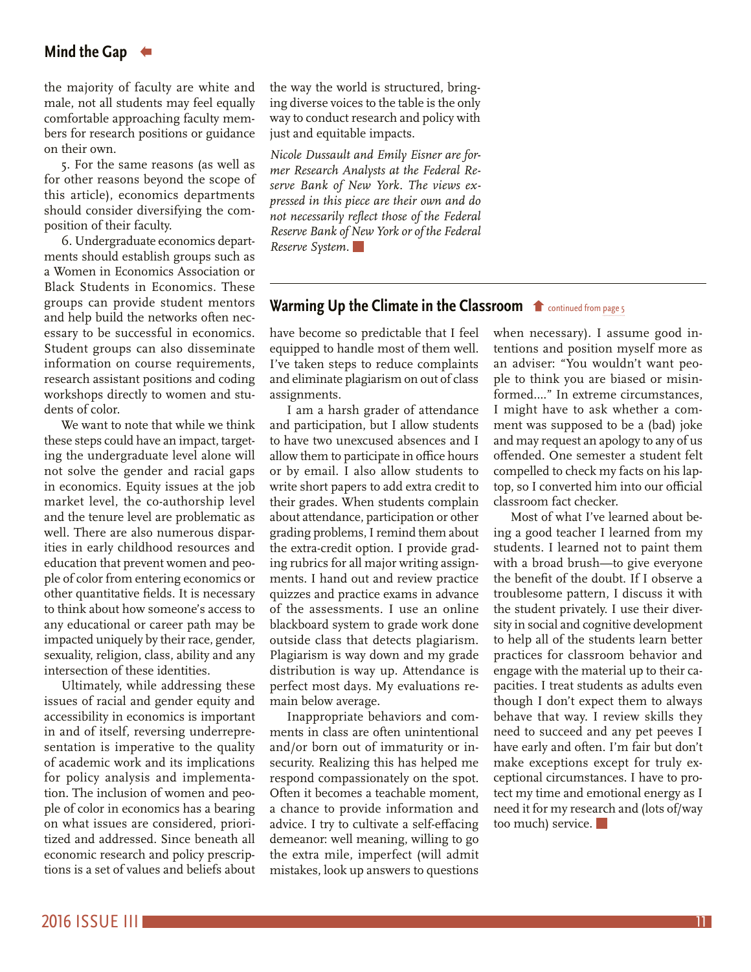# <span id="page-10-0"></span>**[Mind the Gap](#page-9-0)**

the majority of faculty are white and male, not all students may feel equally comfortable approaching faculty members for research positions or guidance on their own.

5. For the same reasons (as well as for other reasons beyond the scope of this article), economics departments should consider diversifying the composition of their faculty.

6. Undergraduate economics departments should establish groups such as a Women in Economics Association or Black Students in Economics. These groups can provide student mentors and help build the networks often necessary to be successful in economics. Student groups can also disseminate information on course requirements, research assistant positions and coding workshops directly to women and students of color.

We want to note that while we think these steps could have an impact, targeting the undergraduate level alone will not solve the gender and racial gaps in economics. Equity issues at the job market level, the co-authorship level and the tenure level are problematic as well. There are also numerous disparities in early childhood resources and education that prevent women and people of color from entering economics or other quantitative fields. It is necessary to think about how someone's access to any educational or career path may be impacted uniquely by their race, gender, sexuality, religion, class, ability and any intersection of these identities.

Ultimately, while addressing these issues of racial and gender equity and accessibility in economics is important in and of itself, reversing underrepresentation is imperative to the quality of academic work and its implications for policy analysis and implementation. The inclusion of women and people of color in economics has a bearing on what issues are considered, prioritized and addressed. Since beneath all economic research and policy prescriptions is a set of values and beliefs about

the way the world is structured, bringing diverse voices to the table is the only way to conduct research and policy with just and equitable impacts.

*Nicole Dussault and Emily Eisner are former Research Analysts at the Federal Reserve Bank of New York. The views expressed in this piece are their own and do not necessarily reflect those of the Federal Reserve Bank of New York or of the Federal Reserve System.*

# [Warming Up the Climate in the Classroom](#page-4-0)  $\bullet$  continued from page 5

have become so predictable that I feel equipped to handle most of them well. I've taken steps to reduce complaints and eliminate plagiarism on out of class assignments.

I am a harsh grader of attendance and participation, but I allow students to have two unexcused absences and I allow them to participate in office hours or by email. I also allow students to write short papers to add extra credit to their grades. When students complain about attendance, participation or other grading problems, I remind them about the extra-credit option. I provide grading rubrics for all major writing assignments. I hand out and review practice quizzes and practice exams in advance of the assessments. I use an online blackboard system to grade work done outside class that detects plagiarism. Plagiarism is way down and my grade distribution is way up. Attendance is perfect most days. My evaluations remain below average.

Inappropriate behaviors and comments in class are often unintentional and/or born out of immaturity or insecurity. Realizing this has helped me respond compassionately on the spot. Often it becomes a teachable moment, a chance to provide information and advice. I try to cultivate a self-effacing demeanor: well meaning, willing to go the extra mile, imperfect (will admit mistakes, look up answers to questions when necessary). I assume good intentions and position myself more as an adviser: "You wouldn't want people to think you are biased or misinformed…." In extreme circumstances, I might have to ask whether a comment was supposed to be a (bad) joke and may request an apology to any of us offended. One semester a student felt compelled to check my facts on his laptop, so I converted him into our official classroom fact checker.

Most of what I've learned about being a good teacher I learned from my students. I learned not to paint them with a broad brush—to give everyone the benefit of the doubt. If I observe a troublesome pattern, I discuss it with the student privately. I use their diversity in social and cognitive development to help all of the students learn better practices for classroom behavior and engage with the material up to their capacities. I treat students as adults even though I don't expect them to always behave that way. I review skills they need to succeed and any pet peeves I have early and often. I'm fair but don't make exceptions except for truly exceptional circumstances. I have to protect my time and emotional energy as I need it for my research and (lots of/way too much) service.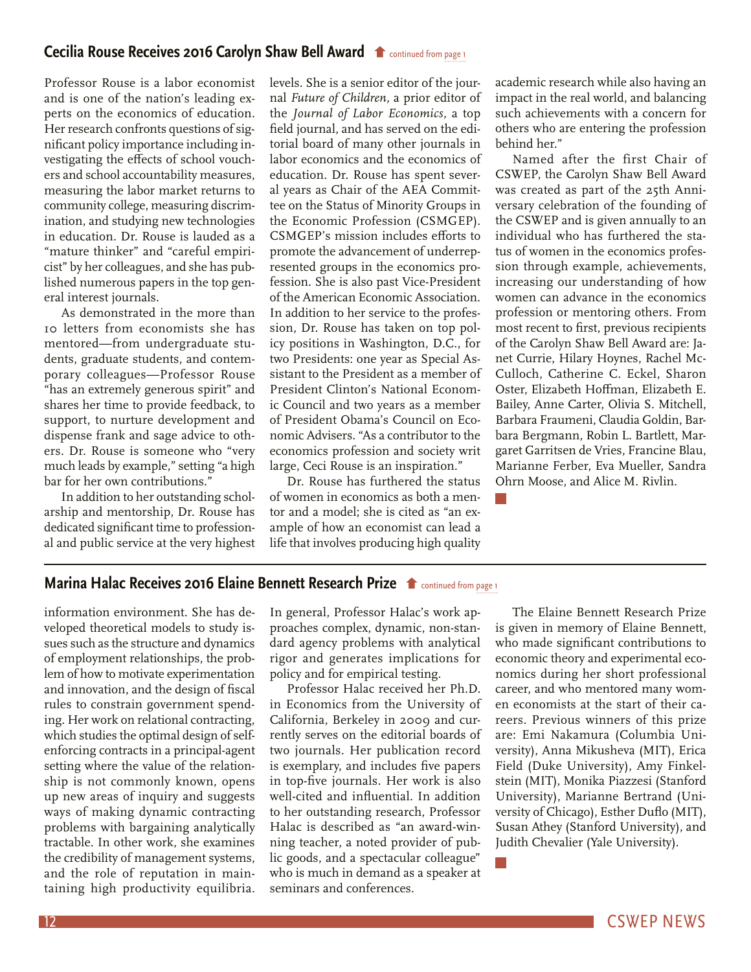## <span id="page-11-0"></span>**[Cecilia Rouse Receives 2016 Carolyn Shaw Bell Award](#page-0-0) the continued from page 1**

Professor Rouse is a labor economist and is one of the nation's leading experts on the economics of education. Her research confronts questions of significant policy importance including investigating the effects of school vouchers and school accountability measures, measuring the labor market returns to community college, measuring discrimination, and studying new technologies in education. Dr. Rouse is lauded as a "mature thinker" and "careful empiricist" by her colleagues, and she has published numerous papers in the top general interest journals.

As demonstrated in the more than 10 letters from economists she has mentored—from undergraduate students, graduate students, and contemporary colleagues—Professor Rouse "has an extremely generous spirit" and shares her time to provide feedback, to support, to nurture development and dispense frank and sage advice to others. Dr. Rouse is someone who "very much leads by example," setting "a high bar for her own contributions."

In addition to her outstanding scholarship and mentorship, Dr. Rouse has dedicated significant time to professional and public service at the very highest levels. She is a senior editor of the journal *Future of Children,* a prior editor of the *Journal of Labor Economics,* a top field journal, and has served on the editorial board of many other journals in labor economics and the economics of education. Dr. Rouse has spent several years as Chair of the AEA Committee on the Status of Minority Groups in the Economic Profession (CSMGEP). CSMGEP's mission includes efforts to promote the advancement of underrepresented groups in the economics profession. She is also past Vice-President of the American Economic Association. In addition to her service to the profession, Dr. Rouse has taken on top policy positions in Washington, D.C., for two Presidents: one year as Special Assistant to the President as a member of President Clinton's National Economic Council and two years as a member of President Obama's Council on Economic Advisers. "As a contributor to the economics profession and society writ large, Ceci Rouse is an inspiration."

Dr. Rouse has furthered the status of women in economics as both a mentor and a model; she is cited as "an example of how an economist can lead a life that involves producing high quality academic research while also having an impact in the real world, and balancing such achievements with a concern for others who are entering the profession behind her."

Named after the first Chair of CSWEP, the Carolyn Shaw Bell Award was created as part of the 25th Anniversary celebration of the founding of the CSWEP and is given annually to an individual who has furthered the status of women in the economics profession through example, achievements, increasing our understanding of how women can advance in the economics profession or mentoring others. From most recent to first, previous recipients of the Carolyn Shaw Bell Award are: Janet Currie, Hilary Hoynes, Rachel Mc-Culloch, Catherine C. Eckel, Sharon Oster, Elizabeth Hoffman, Elizabeth E. Bailey, Anne Carter, Olivia S. Mitchell, Barbara Fraumeni, Claudia Goldin, Barbara Bergmann, Robin L. Bartlett, Margaret Garritsen de Vries, Francine Blau, Marianne Ferber, Eva Mueller, Sandra Ohrn Moose, and Alice M. Rivlin.

# **[Marina Halac Receives 2016 Elaine Bennett Research Prize](#page-0-0)**  $\bullet$  **continued from page 1**

information environment. She has developed theoretical models to study issues such as the structure and dynamics of employment relationships, the problem of how to motivate experimentation and innovation, and the design of fiscal rules to constrain government spending. Her work on relational contracting, which studies the optimal design of selfenforcing contracts in a principal-agent setting where the value of the relationship is not commonly known, opens up new areas of inquiry and suggests ways of making dynamic contracting problems with bargaining analytically tractable. In other work, she examines the credibility of management systems, and the role of reputation in maintaining high productivity equilibria.

In general, Professor Halac's work approaches complex, dynamic, non-standard agency problems with analytical rigor and generates implications for policy and for empirical testing.

Professor Halac received her Ph.D. in Economics from the University of California, Berkeley in 2009 and currently serves on the editorial boards of two journals. Her publication record is exemplary, and includes five papers in top-five journals. Her work is also well-cited and influential. In addition to her outstanding research, Professor Halac is described as "an award-winning teacher, a noted provider of public goods, and a spectacular colleague" who is much in demand as a speaker at seminars and conferences.

The Elaine Bennett Research Prize is given in memory of Elaine Bennett, who made significant contributions to economic theory and experimental economics during her short professional career, and who mentored many women economists at the start of their careers. Previous winners of this prize are: Emi Nakamura (Columbia University), Anna Mikusheva (MIT), Erica Field (Duke University), Amy Finkelstein (MIT), Monika Piazzesi (Stanford University), Marianne Bertrand (University of Chicago), Esther Duflo (MIT), Susan Athey (Stanford University), and Judith Chevalier (Yale University).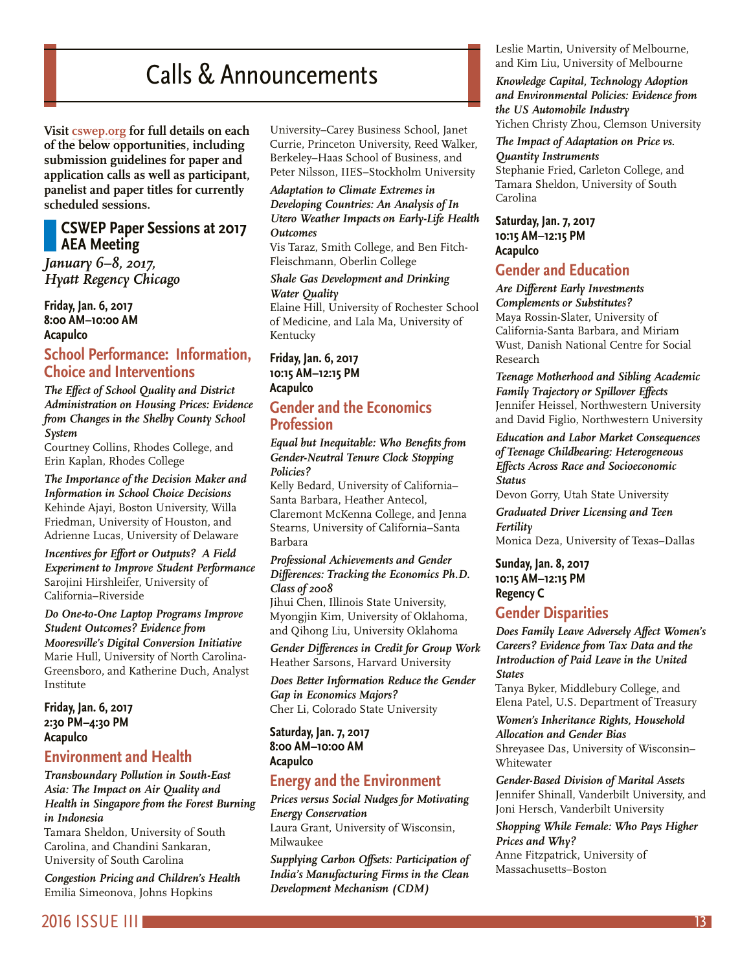# Calls & Announcements

<span id="page-12-0"></span>**Visit [cswep.org](http://www.aeaweb.org/committees/cswep/) for full details on each of the below opportunities, including submission guidelines for paper and application calls as well as participant, panelist and paper titles for currently scheduled sessions.**

# **CSWEP Paper Sessions at 2017 AEA Meeting**

*January 6–8, 2017, Hyatt Regency Chicago*

**Friday, Jan. 6, 2017 8:00 AM–10:00 AM Acapulco**

# **School Performance: Information, Choice and Interventions**

*The Effect of School Quality and District Administration on Housing Prices: Evidence from Changes in the Shelby County School System* 

Courtney Collins, Rhodes College, and Erin Kaplan, Rhodes College

*The Importance of the Decision Maker and Information in School Choice Decisions*  Kehinde Ajayi, Boston University, Willa Friedman, University of Houston, and Adrienne Lucas, University of Delaware

*Incentives for Effort or Outputs? A Field Experiment to Improve Student Performance*  Sarojini Hirshleifer, University of California–Riverside

*Do One-to-One Laptop Programs Improve Student Outcomes? Evidence from Mooresville's Digital Conversion Initiative*  Marie Hull, University of North Carolina-Greensboro, and Katherine Duch, Analyst Institute

**Friday, Jan. 6, 2017 2:30 PM–4:30 PM Acapulco**

# **Environment and Health**

*Transboundary Pollution in South-East Asia: The Impact on Air Quality and Health in Singapore from the Forest Burning in Indonesia* 

Tamara Sheldon, University of South Carolina, and Chandini Sankaran, University of South Carolina

*Congestion Pricing and Children's Health*  Emilia Simeonova, Johns Hopkins

University–Carey Business School, Janet Currie, Princeton University, Reed Walker, Berkeley–Haas School of Business, and Peter Nilsson, IIES–Stockholm University

#### *Adaptation to Climate Extremes in Developing Countries: An Analysis of In Utero Weather Impacts on Early-Life Health Outcomes*

Vis Taraz, Smith College, and Ben Fitch-Fleischmann, Oberlin College

#### *Shale Gas Development and Drinking Water Quality*

Elaine Hill, University of Rochester School of Medicine, and Lala Ma, University of Kentucky

#### **Friday, Jan. 6, 2017 10:15 AM–12:15 PM Acapulco**

# **Gender and the Economics Profession**

*Equal but Inequitable: Who Benefits from Gender-Neutral Tenure Clock Stopping Policies?* 

Kelly Bedard, University of California– Santa Barbara, Heather Antecol, Claremont McKenna College, and Jenna Stearns, University of California–Santa Barbara

#### *Professional Achievements and Gender Differences: Tracking the Economics Ph.D. Class of 2008*

Jihui Chen, Illinois State University, Myongjin Kim, University of Oklahoma, and Qihong Liu, University Oklahoma

*Gender Differences in Credit for Group Work*  Heather Sarsons, Harvard University

*Does Better Information Reduce the Gender Gap in Economics Majors?*  Cher Li, Colorado State University

**Saturday, Jan. 7, 2017 8:00 AM–10:00 AM Acapulco**

# **Energy and the Environment**

*Prices versus Social Nudges for Motivating Energy Conservation* 

Laura Grant, University of Wisconsin, Milwaukee

*Supplying Carbon Offsets: Participation of India's Manufacturing Firms in the Clean Development Mechanism (CDM)* 

Leslie Martin, University of Melbourne, and Kim Liu, University of Melbourne

#### *Knowledge Capital, Technology Adoption and Environmental Policies: Evidence from the US Automobile Industry*  Yichen Christy Zhou, Clemson University

*The Impact of Adaptation on Price vs. Quantity Instruments* 

Stephanie Fried, Carleton College, and Tamara Sheldon, University of South Carolina

#### **Saturday, Jan. 7, 2017 10:15 AM–12:15 PM Acapulco**

# **Gender and Education**

#### *Are Different Early Investments Complements or Substitutes?*

Maya Rossin-Slater, University of California-Santa Barbara, and Miriam Wust, Danish National Centre for Social Research

*Teenage Motherhood and Sibling Academic Family Trajectory or Spillover Effects*  Jennifer Heissel, Northwestern University and David Figlio, Northwestern University

#### *Education and Labor Market Consequences of Teenage Childbearing: Heterogeneous Effects Across Race and Socioeconomic Status*

Devon Gorry, Utah State University

*Graduated Driver Licensing and Teen Fertility*  Monica Deza, University of Texas–Dallas

### **Sunday, Jan. 8, 2017 10:15 AM–12:15 PM Regency C**

# **Gender Disparities**

*Does Family Leave Adversely Affect Women's Careers? Evidence from Tax Data and the Introduction of Paid Leave in the United States* 

Tanya Byker, Middlebury College, and Elena Patel, U.S. Department of Treasury

*Women's Inheritance Rights, Household Allocation and Gender Bias*  Shreyasee Das, University of Wisconsin– Whitewater

*Gender-Based Division of Marital Assets*  Jennifer Shinall, Vanderbilt University, and Joni Hersch, Vanderbilt University

*Shopping While Female: Who Pays Higher Prices and Why?*  Anne Fitzpatrick, University of Massachusetts–Boston